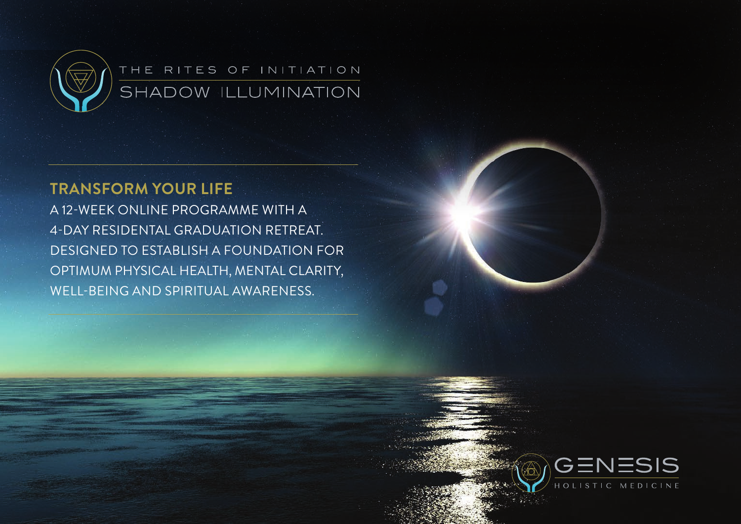

### THE RITES OF INITIATION SHADOW ILLUMINATION

### **Transform your life**

a 12-week online programme with a 4-day RESIDENTal graduation retreat. designed to establish a foundation for optimum physical health, mental clarity, well-being and spiritual awareness.

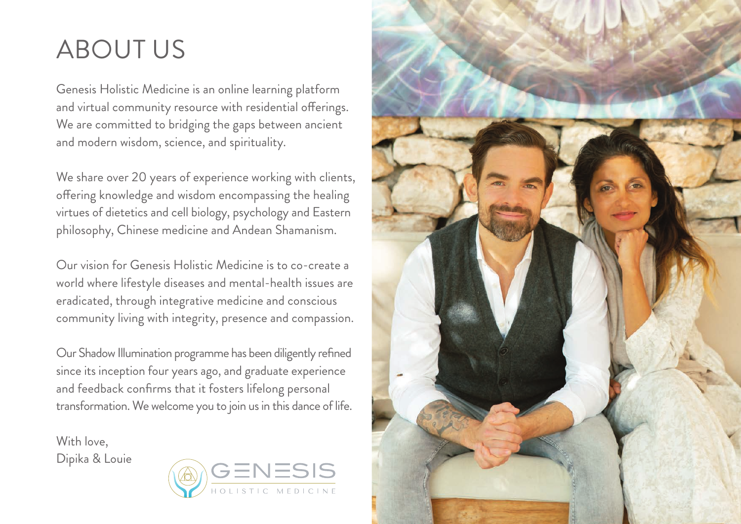## ABOUT us

Genesis Holistic Medicine is an online learning platform and virtual community resource with residential offerings. We are committed to bridging the gaps between ancient and modern wisdom, science, and spirituality.

We share over 20 years of experience working with clients, offering knowledge and wisdom encompassing the healing virtues of dietetics and cell biology, psychology and Eastern philosophy, Chinese medicine and Andean Shamanism.

Our vision for Genesis Holistic Medicine is to co-create a world where lifestyle diseases and mental-health issues are eradicated, through integrative medicine and conscious community living with integrity, presence and compassion.

Our Shadow Illumination programme has been diligently refined since its inception four years ago, and graduate experience and feedback confirms that it fosters lifelong personal transformation. We welcome you to join us in this dance of life.

With love. Dipika & Louie



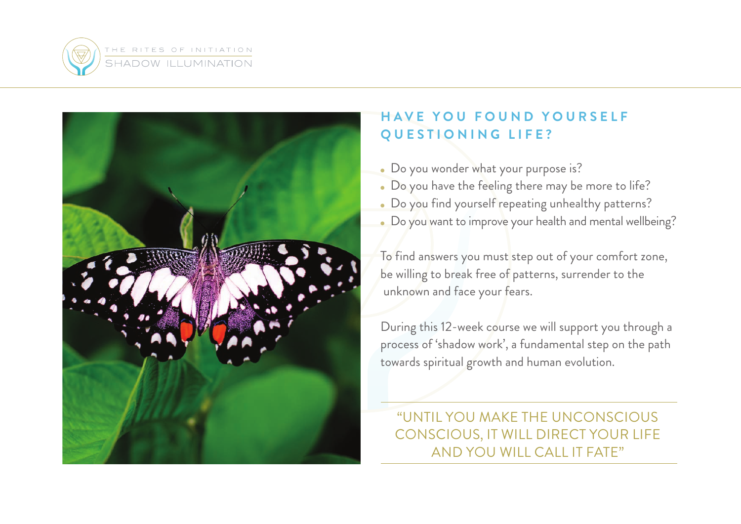



### **HAVE YOU FOUND YOURSELF ques t ioning life?**

- Do you wonder what your purpose is?
- Do you have the feeling there may be more to life?
- Do you find yourself repeating unhealthy patterns?
- Do you want to improve your health and mental wellbeing?

To find answers you must step out of your comfort zone, be willing to break free of patterns, surrender to the unknown and face your fears.

During this 12-week course we will support you through a process of 'shadow work', a fundamental step on the path towards spiritual growth and human evolution.

"Until you make the unconscious conscious, it will direct your life and you will call it fate"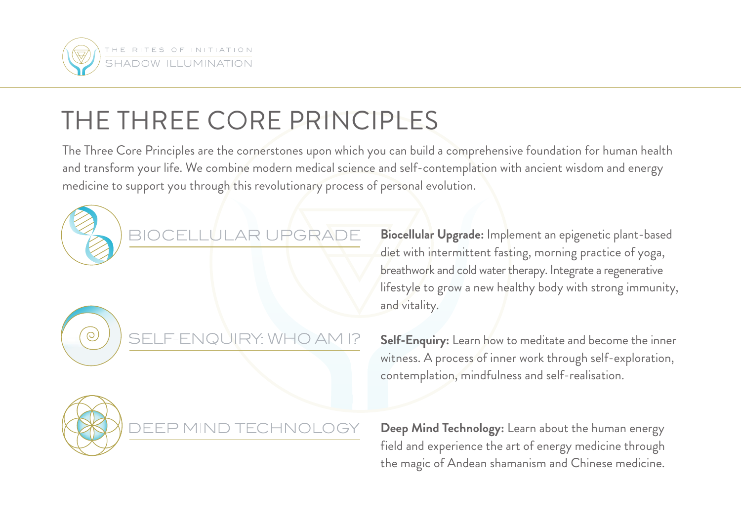

# The Three Core Principles

The Three Core Principles are the cornerstones upon which you can build a comprehensive foundation for human health and transform your life. We combine modern medical science and self-contemplation with ancient wisdom and energy medicine to support you through this revolutionary process of personal evolution.





 $\odot$ 

DEEP MIND TECHN

**Biocellular Upgrade:** Implement an epigenetic plant-based diet with intermittent fasting, morning practice of yoga, breathwork and cold water therapy. Integrate a regenerative lifestyle to grow a new healthy body with strong immunity, and vitality.

**Self-Enquiry:** Learn how to meditate and become the inner witness. A process of inner work through self-exploration, contemplation, mindfulness and self-realisation.

**Deep Mind Technology:** Learn about the human energy field and experience the art of energy medicine through the magic of Andean shamanism and Chinese medicine.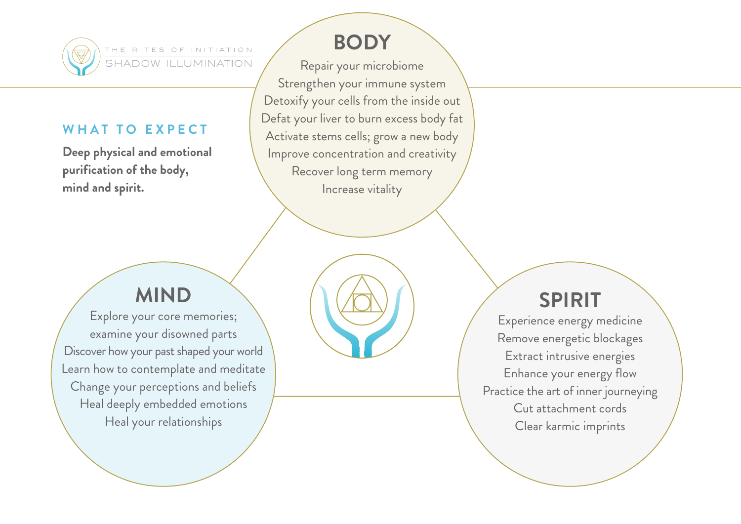

THE RITES OF INITIATION SHADOW ILLUMINATION

#### **W h a t t o ex p e c t**

**Deep physical and emotional purification of the body, mind and spirit.** 

### **BODY**

Repair your microbiome Strengthen your immune system Detoxify your cells from the inside out Defat your liver to burn excess body fat Activate stems cells; grow a new body Improve concentration and creativity Recover long term memory Increase vitality

### **MIND**

Explore your core memories; examine your disowned parts Discover how your past shaped your world Learn how to contemplate and meditate Change your perceptions and beliefs Heal deeply embedded emotions Heal your relationships

### **SPIRIT**

Experience energy medicine Remove energetic blockages Extract intrusive energies Enhance your energy flow Practice the art of inner journeying Cut attachment cords Clear karmic imprints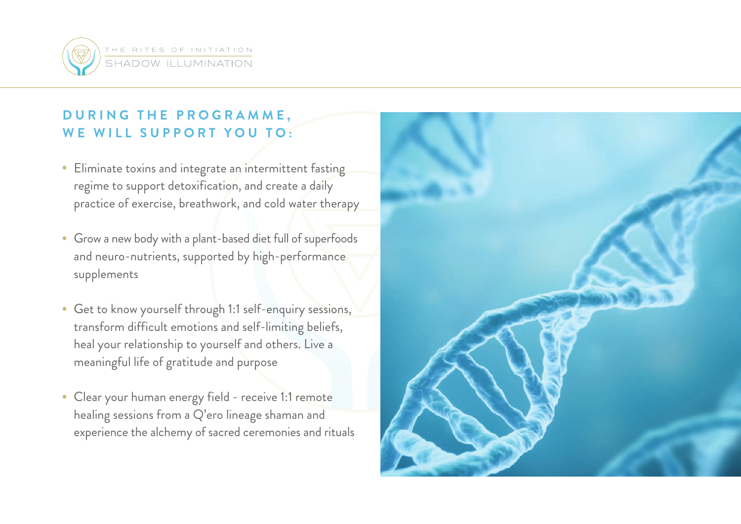

### **DURING THE PROGRAMME, we will support YOU TO:**

- Eliminate toxins and integrate an intermittent fasting regime to support detoxification, and create a daily practice of exercise, breathwork, and cold water therapy
- Grow a new body with a plant-based diet full of superfoods and neuro-nutrients, supported by high-performance supplements
- Get to know yourself through 1:1 self-enquiry sessions, transform difficult emotions and self-limiting beliefs, heal your relationship to yourself and others. Live a meaningful life of gratitude and purpose
- Clear your human energy field receive 1:1 remote healing sessions from a Q'ero lineage shaman and experience the alchemy of sacred ceremonies and rituals

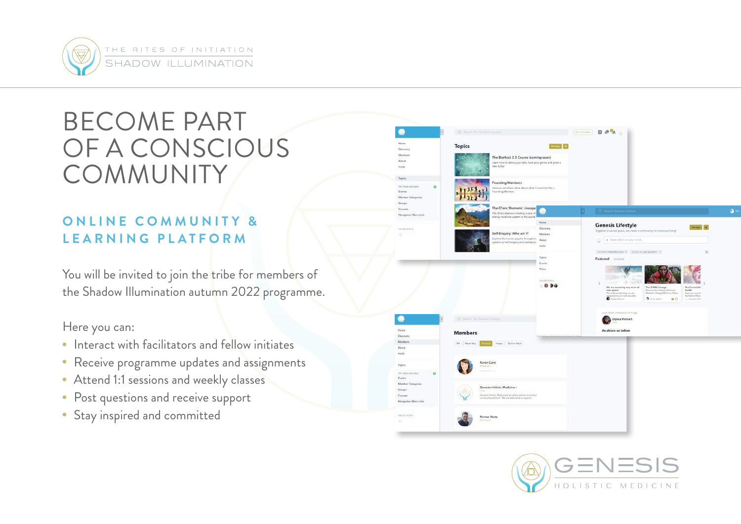

## Become part of a Conscious **COMMUNITY**

### **ONLINE COMMUNITY & LEARNING PLATFORM**

You will be invited to join the tribe for members of the Shadow Illumination autumn 2022 programme.

Here you can:

- Interact with facilitators and fellow initiates
- Receive programme updates and assignments
- Attend 1:1 sessions and weekly classes
- Post questions and receive support
- Stay inspired and committed